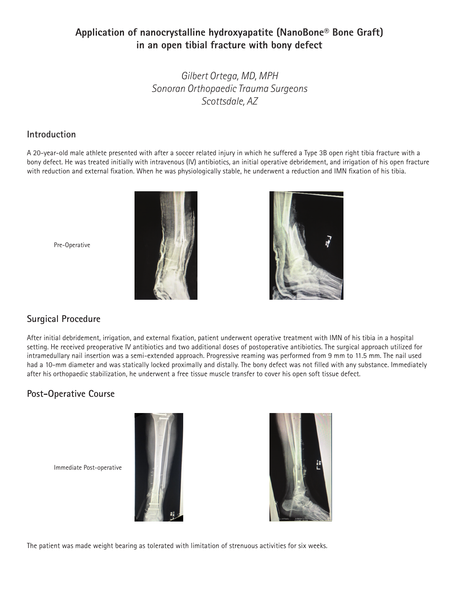# **Application of nanocrystalline hydroxyapatite (NanoBone® Bone Graft) in an open tibial fracture with bony defect**

*Gilbert Ortega, MD, MPH Sonoran Orthopaedic Trauma Surgeons Scottsdale, AZ*

### **Introduction**

A 20-year-old male athlete presented with after a soccer related injury in which he suffered a Type 3B open right tibia fracture with a bony defect. He was treated initially with intravenous (IV) antibiotics, an initial operative debridement, and irrigation of his open fracture with reduction and external fixation. When he was physiologically stable, he underwent a reduction and IMN fixation of his tibia.





Pre-Operative

## **Surgical Procedure**

After initial debridement, irrigation, and external fixation, patient underwent operative treatment with IMN of his tibia in a hospital setting. He received preoperative IV antibiotics and two additional doses of postoperative antibiotics. The surgical approach utilized for intramedullary nail insertion was a semi-extended approach. Progressive reaming was performed from 9 mm to 11.5 mm. The nail used had a 10-mm diameter and was statically locked proximally and distally. The bony defect was not filled with any substance. Immediately after his orthopaedic stabilization, he underwent a free tissue muscle transfer to cover his open soft tissue defect.

# **Post-Operative Course**

Immediate Post-operative





The patient was made weight bearing as tolerated with limitation of strenuous activities for six weeks.